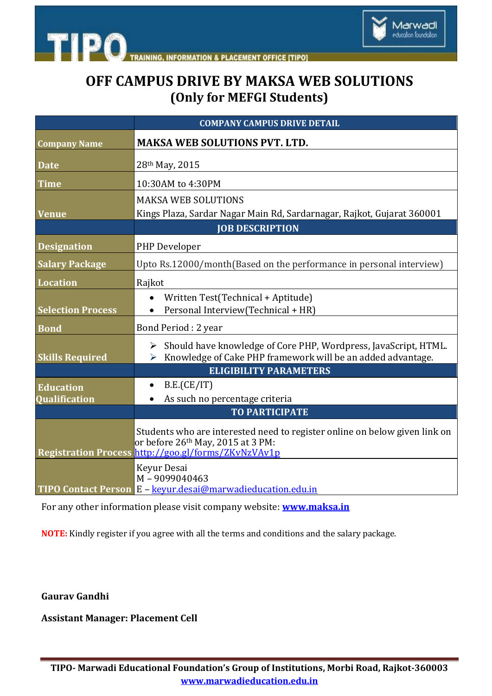



## **OFF CAMPUS DRIVE BY MAKSA WEB SOLUTIONS (Only for MEFGI Students)**

|                                   | <b>COMPANY CAMPUS DRIVE DETAIL</b>                                                                                                                                                 |
|-----------------------------------|------------------------------------------------------------------------------------------------------------------------------------------------------------------------------------|
| <b>Company Name</b>               | <b>MAKSA WEB SOLUTIONS PVT. LTD.</b>                                                                                                                                               |
| <b>Date</b>                       | 28th May, 2015                                                                                                                                                                     |
| Time                              | 10:30AM to 4:30PM                                                                                                                                                                  |
| <b>Venue</b>                      | <b>MAKSA WEB SOLUTIONS</b><br>Kings Plaza, Sardar Nagar Main Rd, Sardarnagar, Rajkot, Gujarat 360001                                                                               |
|                                   | <b>JOB DESCRIPTION</b>                                                                                                                                                             |
| <b>Designation</b>                | PHP Developer                                                                                                                                                                      |
| <b>Salary Package</b>             | Upto Rs.12000/month(Based on the performance in personal interview)                                                                                                                |
| <b>Location</b>                   | Rajkot                                                                                                                                                                             |
| <b>Selection Process</b>          | Written Test(Technical + Aptitude)<br>Personal Interview(Technical + HR)                                                                                                           |
| <b>Bond</b>                       | Bond Period: 2 year                                                                                                                                                                |
| <b>Skills Required</b>            | > Should have knowledge of Core PHP, Wordpress, JavaScript, HTML.<br>Knowledge of Cake PHP framework will be an added advantage.<br>➤                                              |
|                                   | <b>ELIGIBILITY PARAMETERS</b>                                                                                                                                                      |
| <b>Education</b><br>Qualification | B.E.(CE/IT)<br>As such no percentage criteria                                                                                                                                      |
|                                   | <b>TO PARTICIPATE</b>                                                                                                                                                              |
|                                   | Students who are interested need to register online on below given link on<br>or before 26 <sup>th</sup> May, 2015 at 3 PM:<br>Registration Process http://goo.gl/forms/ZKvNzVAv1p |
|                                   | Keyur Desai<br>M-9099040463<br>TIPO Contact Person E - keyur.desai@marwadieducation.edu.in                                                                                         |

For any other information please visit company website: **[www.maksa.in](file:///C:\Users\Marwadi\Desktop\CAMPUS%20NOTICES\www.maksa.in)**

**NOTE:** Kindly register if you agree with all the terms and conditions and the salary package.

**Gaurav Gandhi**

**Assistant Manager: Placement Cell**